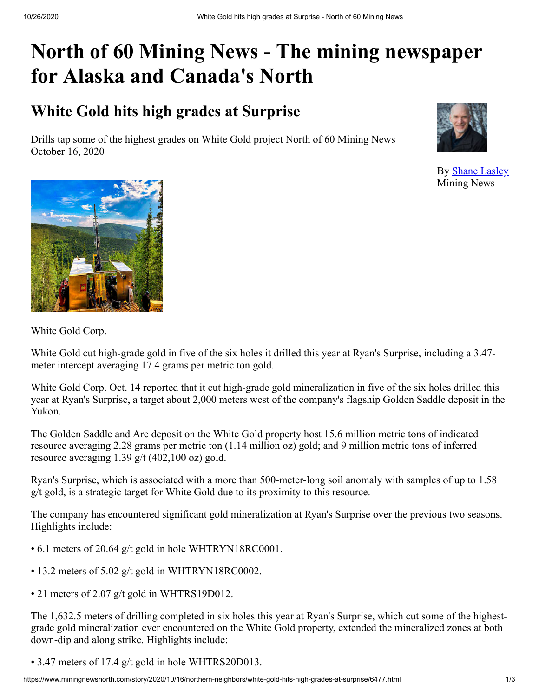# **North of 60 Mining News - The mining newspaper for Alaska and Canada's North**

# **White Gold hits high grades at Surprise**

Drills tap some of the highest grades on White Gold project North of 60 Mining News – October 16, 2020



By [Shane Lasley](https://www.miningnewsnorth.com/author/shane_lasley) Mining News



White Gold Corp.

White Gold cut high-grade gold in five of the six holes it drilled this year at Ryan's Surprise, including a 3.47 meter intercept averaging 17.4 grams per metric ton gold.

White Gold Corp. Oct. 14 reported that it cut high-grade gold mineralization in five of the six holes drilled this year at Ryan's Surprise, a target about 2,000 meters west of the company's flagship Golden Saddle deposit in the Yukon.

The Golden Saddle and Arc deposit on the White Gold property host 15.6 million metric tons of indicated resource averaging 2.28 grams per metric ton (1.14 million oz) gold; and 9 million metric tons of inferred resource averaging 1.39 g/t (402,100 oz) gold.

Ryan's Surprise, which is associated with a more than 500-meter-long soil anomaly with samples of up to 1.58 g/t gold, is a strategic target for White Gold due to its proximity to this resource.

The company has encountered significant gold mineralization at Ryan's Surprise over the previous two seasons. Highlights include:

- 6.1 meters of 20.64 g/t gold in hole WHTRYN18RC0001.
- 13.2 meters of 5.02 g/t gold in WHTRYN18RC0002.
- 21 meters of 2.07 g/t gold in WHTRS19D012.

The 1,632.5 meters of drilling completed in six holes this year at Ryan's Surprise, which cut some of the highestgrade gold mineralization ever encountered on the White Gold property, extended the mineralized zones at both down-dip and along strike. Highlights include:

• 3.47 meters of 17.4 g/t gold in hole WHTRS20D013.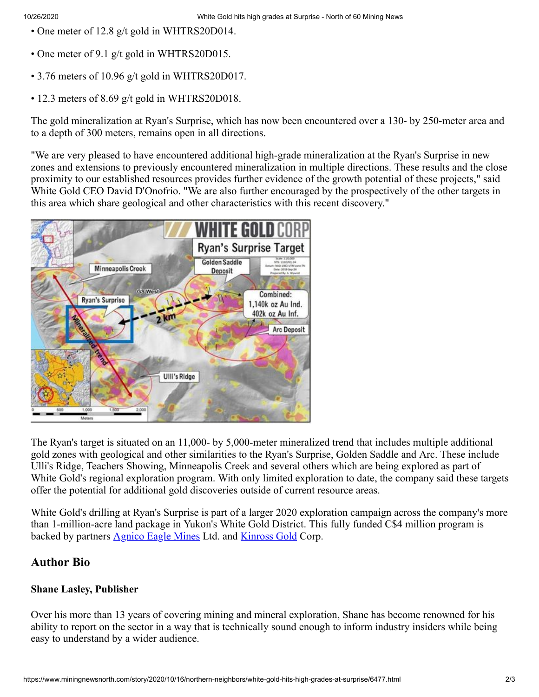- One meter of 12.8 g/t gold in WHTRS20D014.
- One meter of 9.1 g/t gold in WHTRS20D015.
- 3.76 meters of 10.96 g/t gold in WHTRS20D017.
- 12.3 meters of 8.69 g/t gold in WHTRS20D018.

The gold mineralization at Ryan's Surprise, which has now been encountered over a 130- by 250-meter area and to a depth of 300 meters, remains open in all directions.

"We are very pleased to have encountered additional high-grade mineralization at the Ryan's Surprise in new zones and extensions to previously encountered mineralization in multiple directions. These results and the close proximity to our established resources provides further evidence of the growth potential of these projects," said White Gold CEO David D'Onofrio. "We are also further encouraged by the prospectively of the other targets in this area which share geological and other characteristics with this recent discovery."



The Ryan's target is situated on an 11,000- by 5,000-meter mineralized trend that includes multiple additional gold zones with geological and other similarities to the Ryan's Surprise, Golden Saddle and Arc. These include Ulli's Ridge, Teachers Showing, Minneapolis Creek and several others which are being explored as part of White Gold's regional exploration program. With only limited exploration to date, the company said these targets offer the potential for additional gold discoveries outside of current resource areas.

White Gold's drilling at Ryan's Surprise is part of a larger 2020 exploration campaign across the company's more than 1-million-acre land package in Yukon's White Gold District. This fully funded C\$4 million program is backed by partners **[Agnico Eagle Mines](https://www.miningnewsnorth.com/search/Agnico_Eagle_Mines)** Ltd. and **[Kinross Gold](https://www.miningnewsnorth.com/search/Kinross_Gold)** Corp.

### **Author Bio**

#### **Shane Lasley, Publisher**

Over his more than 13 years of covering mining and mineral exploration, Shane has become renowned for his ability to report on the sector in a way that is technically sound enough to inform industry insiders while being easy to understand by a wider audience.